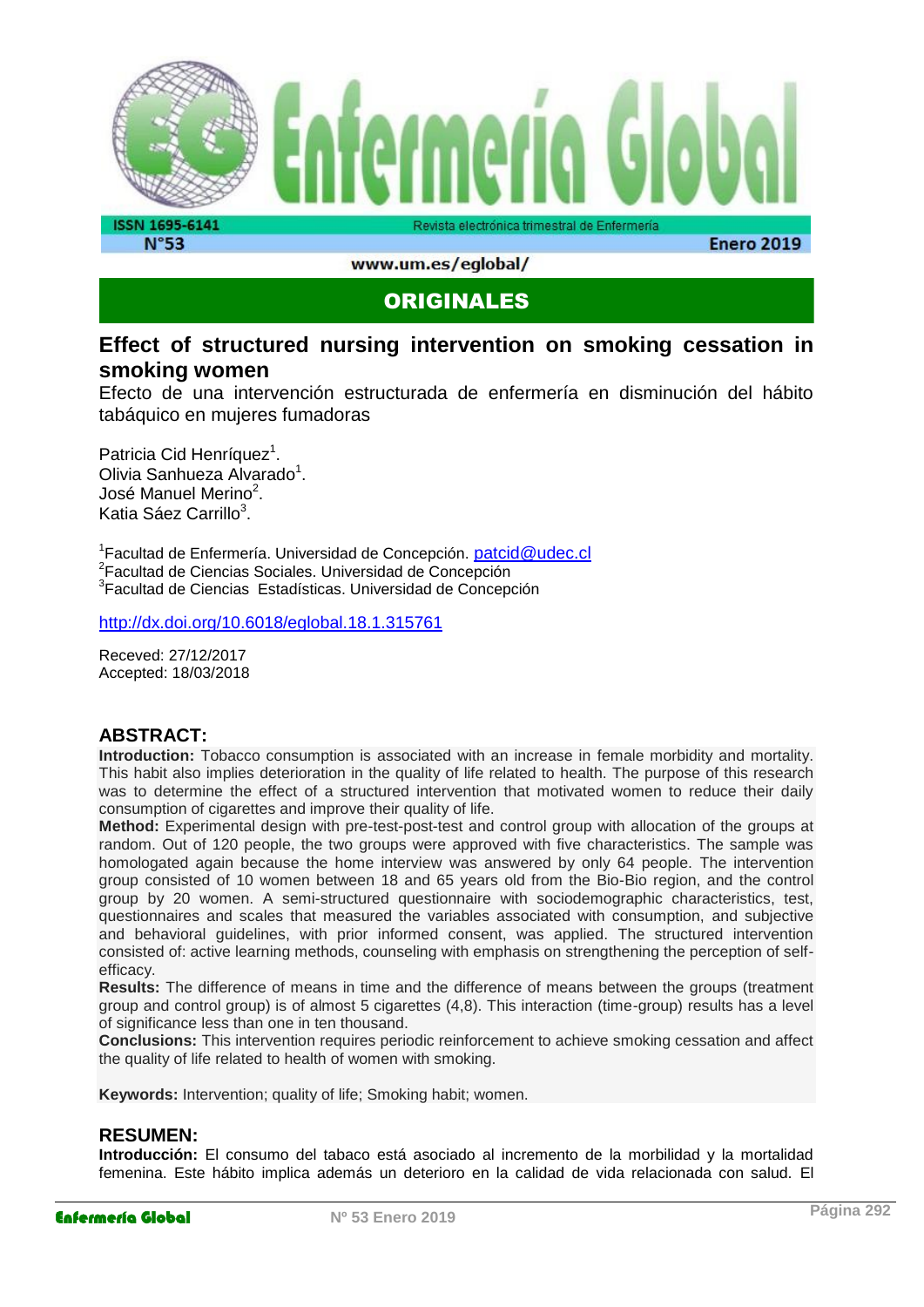

www.um.es/eglobal/

### ORIGINALES

### **Effect of structured nursing intervention on smoking cessation in smoking women**

Efecto de una intervención estructurada de enfermería en disminución del hábito tabáquico en mujeres fumadoras

Patricia Cid Henríquez<sup>1</sup>. Olivia Sanhueza Alvarado<sup>1</sup>. José Manuel Merino<sup>2</sup>. Katia Sáez Carrillo<sup>3</sup>.

<sup>1</sup>Facultad de Enfermería. Universidad de Concepción. <u>[patcid@udec.cl](mailto:patcid@udec.cl)</u> <sup>2</sup> Facultad de Ciencias Sociales. Universidad de Concepción <sup>3</sup>Facultad de Ciencias Estadísticas. Universidad de Concepción

<http://dx.doi.org/10.6018/eglobal.18.1.315761>

Receved: 27/12/2017 Accepted: 18/03/2018

#### **ABSTRACT:**

**Introduction:** Tobacco consumption is associated with an increase in female morbidity and mortality. This habit also implies deterioration in the quality of life related to health. The purpose of this research was to determine the effect of a structured intervention that motivated women to reduce their daily consumption of cigarettes and improve their quality of life.

**Method:** Experimental design with pre-test-post-test and control group with allocation of the groups at random. Out of 120 people, the two groups were approved with five characteristics. The sample was homologated again because the home interview was answered by only 64 people. The intervention group consisted of 10 women between 18 and 65 years old from the Bio-Bio region, and the control group by 20 women. A semi-structured questionnaire with sociodemographic characteristics, test, questionnaires and scales that measured the variables associated with consumption, and subjective and behavioral guidelines, with prior informed consent, was applied. The structured intervention consisted of: active learning methods, counseling with emphasis on strengthening the perception of selfefficacy.

**Results:** The difference of means in time and the difference of means between the groups (treatment group and control group) is of almost 5 cigarettes (4,8). This interaction (time-group) results has a level of significance less than one in ten thousand.

**Conclusions:** This intervention requires periodic reinforcement to achieve smoking cessation and affect the quality of life related to health of women with smoking.

**Keywords:** Intervention; quality of life; Smoking habit; women.

#### **RESUMEN:**

**Introducción:** El consumo del tabaco está asociado al incremento de la morbilidad y la mortalidad femenina. Este hábito implica además un deterioro en la calidad de vida relacionada con salud. El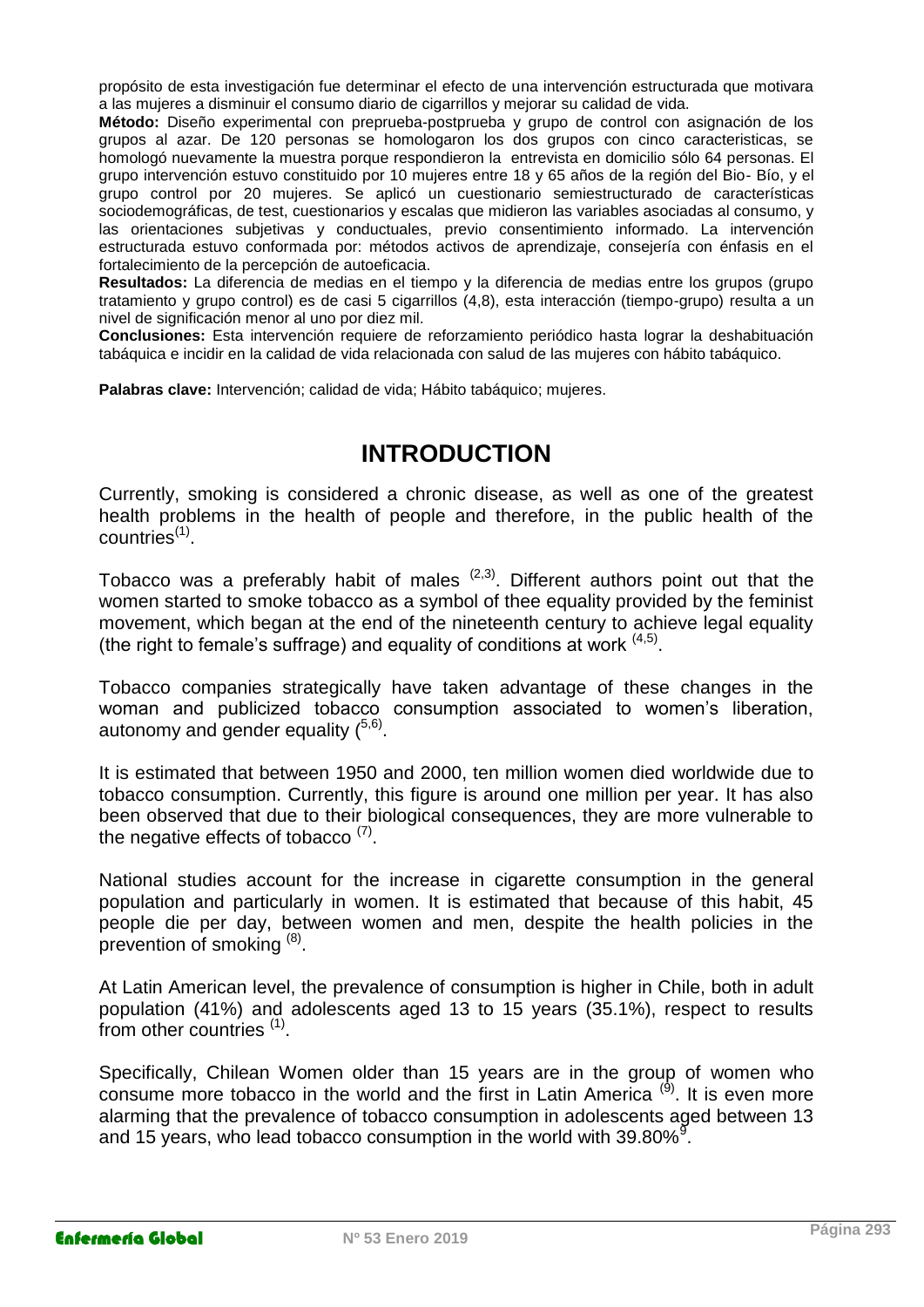propósito de esta investigación fue determinar el efecto de una intervención estructurada que motivara a las mujeres a disminuir el consumo diario de cigarrillos y mejorar su calidad de vida.

**Método:** Diseño experimental con preprueba-postprueba y grupo de control con asignación de los grupos al azar. De 120 personas se homologaron los dos grupos con cinco caracteristicas, se homologó nuevamente la muestra porque respondieron la entrevista en domicilio sólo 64 personas. El grupo intervención estuvo constituido por 10 mujeres entre 18 y 65 años de la región del Bio- Bío, y el grupo control por 20 mujeres. Se aplicó un cuestionario semiestructurado de características sociodemográficas, de test, cuestionarios y escalas que midieron las variables asociadas al consumo, y las orientaciones subjetivas y conductuales, previo consentimiento informado. La intervención estructurada estuvo conformada por: métodos activos de aprendizaje, consejería con énfasis en el fortalecimiento de la percepción de autoeficacia.

**Resultados:** La diferencia de medias en el tiempo y la diferencia de medias entre los grupos (grupo tratamiento y grupo control) es de casi 5 cigarrillos (4,8), esta interacción (tiempo-grupo) resulta a un nivel de significación menor al uno por diez mil.

**Conclusiones:** Esta intervención requiere de reforzamiento periódico hasta lograr la deshabituación tabáquica e incidir en la calidad de vida relacionada con salud de las mujeres con hábito tabáquico.

**Palabras clave:** Intervención; calidad de vida; Hábito tabáquico; mujeres.

## **INTRODUCTION**

Currently, smoking is considered a chronic disease, as well as one of the greatest health problems in the health of people and therefore, in the public health of the  $countries<sup>(1)</sup>$ .

Tobacco was a preferably habit of males  $(2,3)$ . Different authors point out that the women started to smoke tobacco as a symbol of thee equality provided by the feminist movement, which began at the end of the nineteenth century to achieve legal equality (the right to female's suffrage) and equality of conditions at work  $(4,5)$ .

Tobacco companies strategically have taken advantage of these changes in the woman and publicized tobacco consumption associated to women's liberation, autonomy and gender equality  $(5.6)$ .

It is estimated that between 1950 and 2000, ten million women died worldwide due to tobacco consumption. Currently, this figure is around one million per year. It has also been observed that due to their biological consequences, they are more vulnerable to the negative effects of tobacco  $^{(7)}$ .

National studies account for the increase in cigarette consumption in the general population and particularly in women. It is estimated that because of this habit, 45 people die per day, between women and men, despite the health policies in the prevention of smoking (8).

At Latin American level, the prevalence of consumption is higher in Chile, both in adult population (41%) and adolescents aged 13 to 15 years (35.1%), respect to results from other countries (1).

Specifically, Chilean Women older than 15 years are in the group of women who consume more tobacco in the world and the first in Latin America<sup> $(9)$ </sup>. It is even more alarming that the prevalence of tobacco consumption in adolescents aged between 13 and 15 years, who lead tobacco consumption in the world with 39.80%<sup>9</sup>.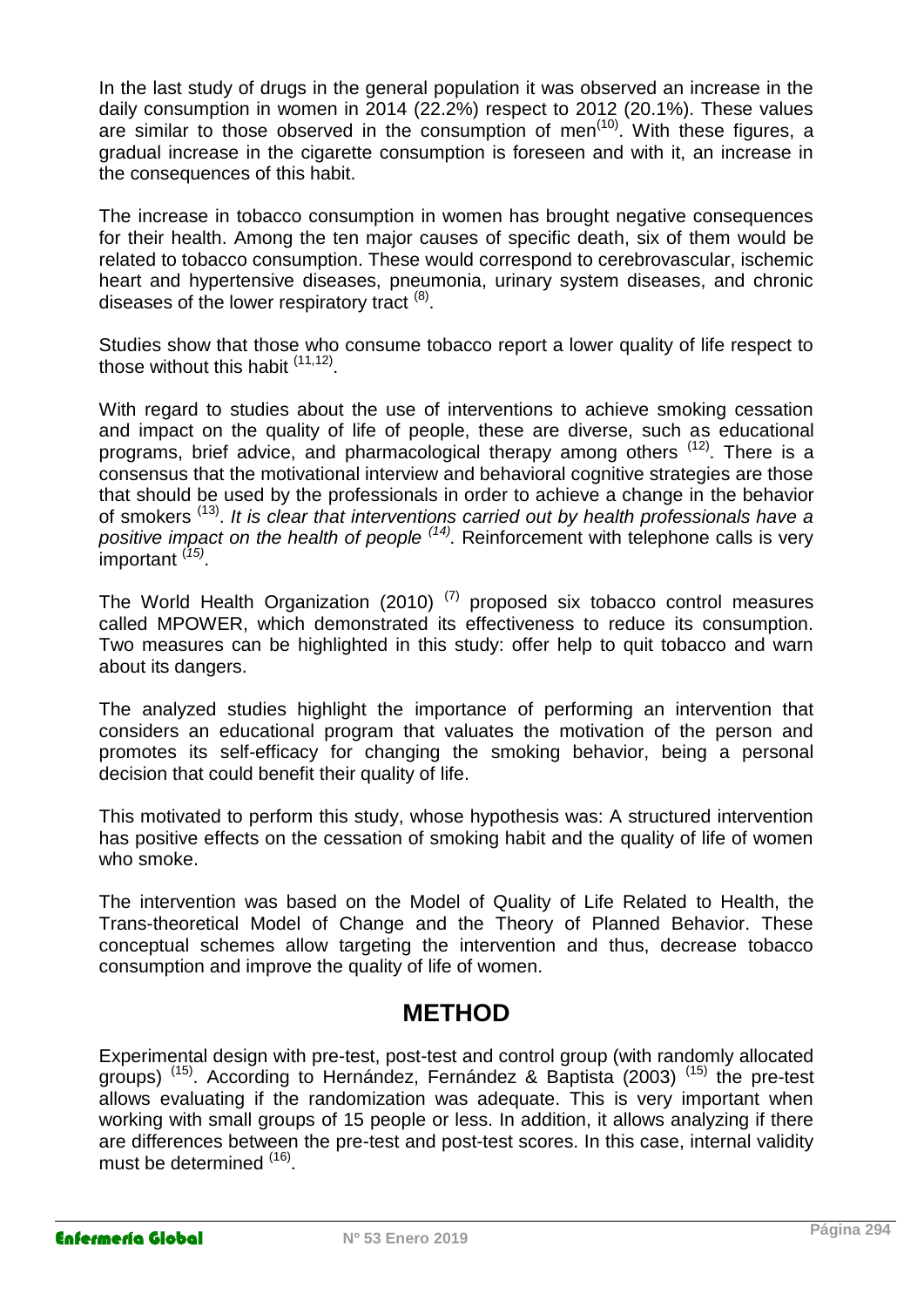In the last study of drugs in the general population it was observed an increase in the daily consumption in women in 2014 (22.2%) respect to 2012 (20.1%). These values are similar to those observed in the consumption of men<sup>(10)</sup>. With these figures, a gradual increase in the cigarette consumption is foreseen and with it, an increase in the consequences of this habit.

The increase in tobacco consumption in women has brought negative consequences for their health. Among the ten major causes of specific death, six of them would be related to tobacco consumption. These would correspond to cerebrovascular, ischemic heart and hypertensive diseases, pneumonia, urinary system diseases, and chronic diseases of the lower respiratory tract  $^{(8)}$ .

Studies show that those who consume tobacco report a lower quality of life respect to those without this habit <sup>(11,12)</sup>.

With regard to studies about the use of interventions to achieve smoking cessation and impact on the quality of life of people, these are diverse, such as educational programs, brief advice, and pharmacological therapy among others <sup>(12)</sup>. There is a consensus that the motivational interview and behavioral cognitive strategies are those that should be used by the professionals in order to achieve a change in the behavior of smokers (13) . *It is clear that interventions carried out by health professionals have a positive impact on the health of people (14) .* Reinforcement with telephone calls is very important (*15)* .

The World Health Organization (2010)  $(7)$  proposed six tobacco control measures called MPOWER, which demonstrated its effectiveness to reduce its consumption. Two measures can be highlighted in this study: offer help to quit tobacco and warn about its dangers.

The analyzed studies highlight the importance of performing an intervention that considers an educational program that valuates the motivation of the person and promotes its self-efficacy for changing the smoking behavior, being a personal decision that could benefit their quality of life.

This motivated to perform this study, whose hypothesis was: A structured intervention has positive effects on the cessation of smoking habit and the quality of life of women who smoke.

The intervention was based on the Model of Quality of Life Related to Health, the Trans-theoretical Model of Change and the Theory of Planned Behavior. These conceptual schemes allow targeting the intervention and thus, decrease tobacco consumption and improve the quality of life of women.

# **METHOD**

Experimental design with pre-test, post-test and control group (with randomly allocated groups)<sup>(15)</sup>. According to Hernández, Fernández & Baptista (2003)<sup>(15)</sup> the pre-test allows evaluating if the randomization was adequate. This is very important when working with small groups of 15 people or less. In addition, it allows analyzing if there are differences between the pre-test and post-test scores. In this case, internal validity must be determined <sup>(16)</sup>.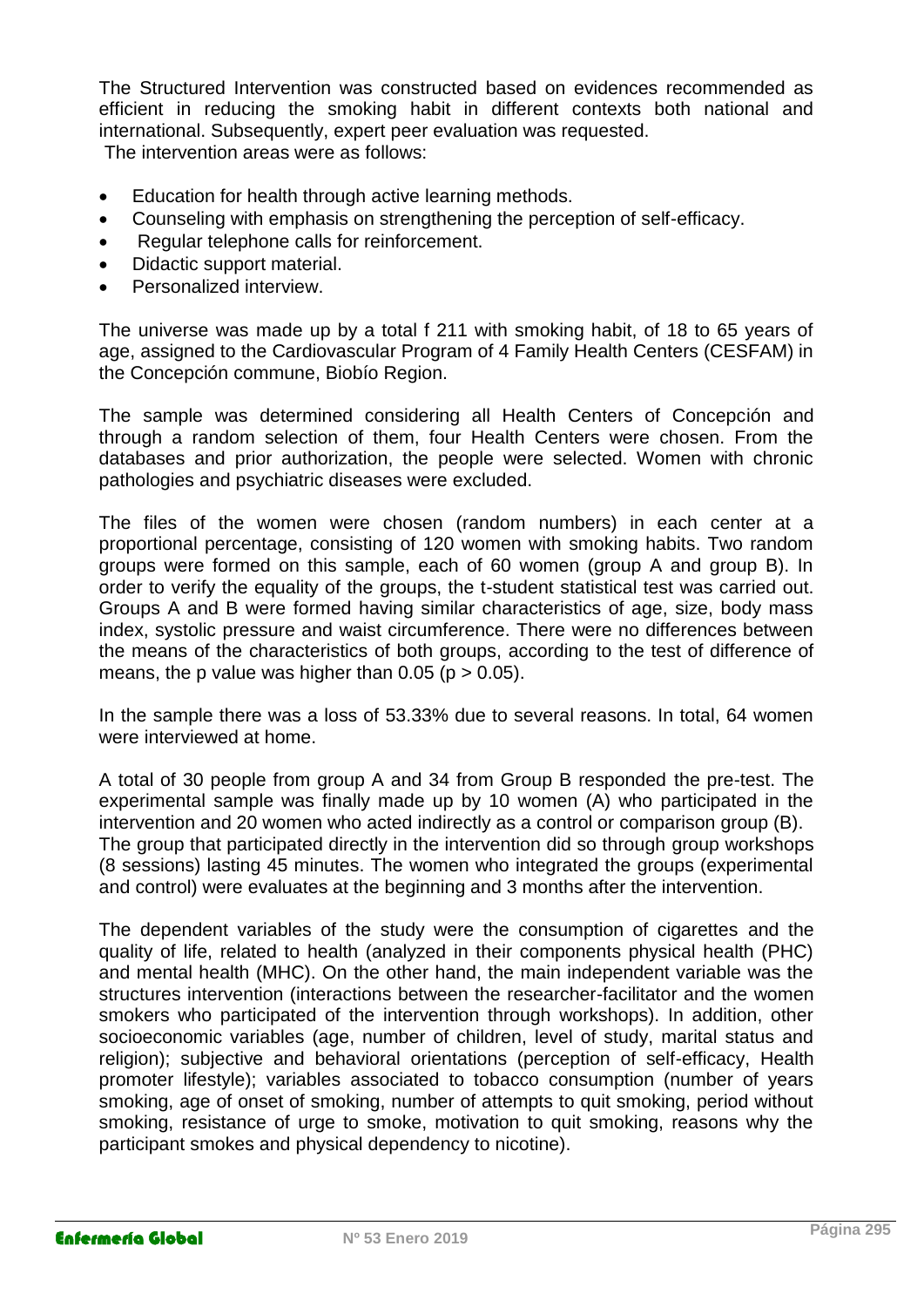The Structured Intervention was constructed based on evidences recommended as efficient in reducing the smoking habit in different contexts both national and international. Subsequently, expert peer evaluation was requested. The intervention areas were as follows:

- Education for health through active learning methods.
- Counseling with emphasis on strengthening the perception of self-efficacy.
- Regular telephone calls for reinforcement.
- Didactic support material.
- Personalized interview.

The universe was made up by a total f 211 with smoking habit, of 18 to 65 years of age, assigned to the Cardiovascular Program of 4 Family Health Centers (CESFAM) in the Concepción commune, Biobío Region.

The sample was determined considering all Health Centers of Concepción and through a random selection of them, four Health Centers were chosen. From the databases and prior authorization, the people were selected. Women with chronic pathologies and psychiatric diseases were excluded.

The files of the women were chosen (random numbers) in each center at a proportional percentage, consisting of 120 women with smoking habits. Two random groups were formed on this sample, each of 60 women (group A and group B). In order to verify the equality of the groups, the t-student statistical test was carried out. Groups A and B were formed having similar characteristics of age, size, body mass index, systolic pressure and waist circumference. There were no differences between the means of the characteristics of both groups, according to the test of difference of means, the p value was higher than  $0.05$  ( $p > 0.05$ ).

In the sample there was a loss of 53.33% due to several reasons. In total, 64 women were interviewed at home.

A total of 30 people from group A and 34 from Group B responded the pre-test. The experimental sample was finally made up by 10 women (A) who participated in the intervention and 20 women who acted indirectly as a control or comparison group (B). The group that participated directly in the intervention did so through group workshops (8 sessions) lasting 45 minutes. The women who integrated the groups (experimental and control) were evaluates at the beginning and 3 months after the intervention.

The dependent variables of the study were the consumption of cigarettes and the quality of life, related to health (analyzed in their components physical health (PHC) and mental health (MHC). On the other hand, the main independent variable was the structures intervention (interactions between the researcher-facilitator and the women smokers who participated of the intervention through workshops). In addition, other socioeconomic variables (age, number of children, level of study, marital status and religion); subjective and behavioral orientations (perception of self-efficacy, Health promoter lifestyle); variables associated to tobacco consumption (number of years smoking, age of onset of smoking, number of attempts to quit smoking, period without smoking, resistance of urge to smoke, motivation to quit smoking, reasons why the participant smokes and physical dependency to nicotine).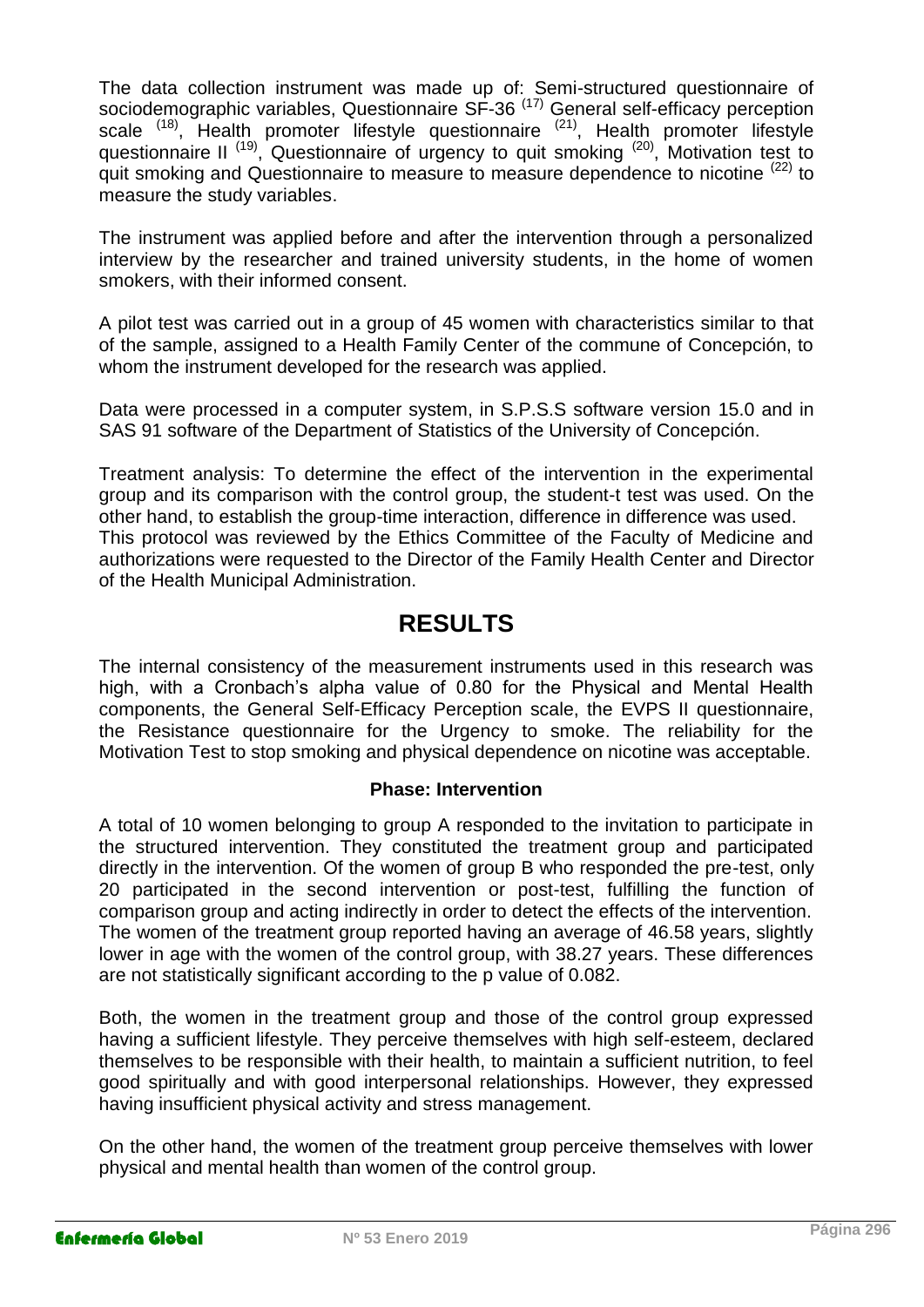The data collection instrument was made up of: Semi-structured questionnaire of sociodemographic variables, Questionnaire SF-36<sup>(17)</sup> General self-efficacy perception scale <sup>(18)</sup>, Health promoter lifestyle questionnaire <sup>(21)</sup>, Health promoter lifestyle questionnaire II<sup>(19)</sup>, Questionnaire of urgency to quit smoking<sup>(20)</sup>, Motivation test to quit smoking and Questionnaire to measure to measure dependence to nicotine <sup>(22)</sup> to measure the study variables.

The instrument was applied before and after the intervention through a personalized interview by the researcher and trained university students, in the home of women smokers, with their informed consent.

A pilot test was carried out in a group of 45 women with characteristics similar to that of the sample, assigned to a Health Family Center of the commune of Concepción, to whom the instrument developed for the research was applied.

Data were processed in a computer system, in S.P.S.S software version 15.0 and in SAS 91 software of the Department of Statistics of the University of Concepción.

Treatment analysis: To determine the effect of the intervention in the experimental group and its comparison with the control group, the student-t test was used. On the other hand, to establish the group-time interaction, difference in difference was used. This protocol was reviewed by the Ethics Committee of the Faculty of Medicine and authorizations were requested to the Director of the Family Health Center and Director of the Health Municipal Administration.

## **RESULTS**

The internal consistency of the measurement instruments used in this research was high, with a Cronbach's alpha value of 0.80 for the Physical and Mental Health components, the General Self-Efficacy Perception scale, the EVPS II questionnaire, the Resistance questionnaire for the Urgency to smoke. The reliability for the Motivation Test to stop smoking and physical dependence on nicotine was acceptable.

#### **Phase: Intervention**

A total of 10 women belonging to group A responded to the invitation to participate in the structured intervention. They constituted the treatment group and participated directly in the intervention. Of the women of group B who responded the pre-test, only 20 participated in the second intervention or post-test, fulfilling the function of comparison group and acting indirectly in order to detect the effects of the intervention. The women of the treatment group reported having an average of 46.58 years, slightly lower in age with the women of the control group, with 38.27 years. These differences are not statistically significant according to the p value of 0.082.

Both, the women in the treatment group and those of the control group expressed having a sufficient lifestyle. They perceive themselves with high self-esteem, declared themselves to be responsible with their health, to maintain a sufficient nutrition, to feel good spiritually and with good interpersonal relationships. However, they expressed having insufficient physical activity and stress management.

On the other hand, the women of the treatment group perceive themselves with lower physical and mental health than women of the control group.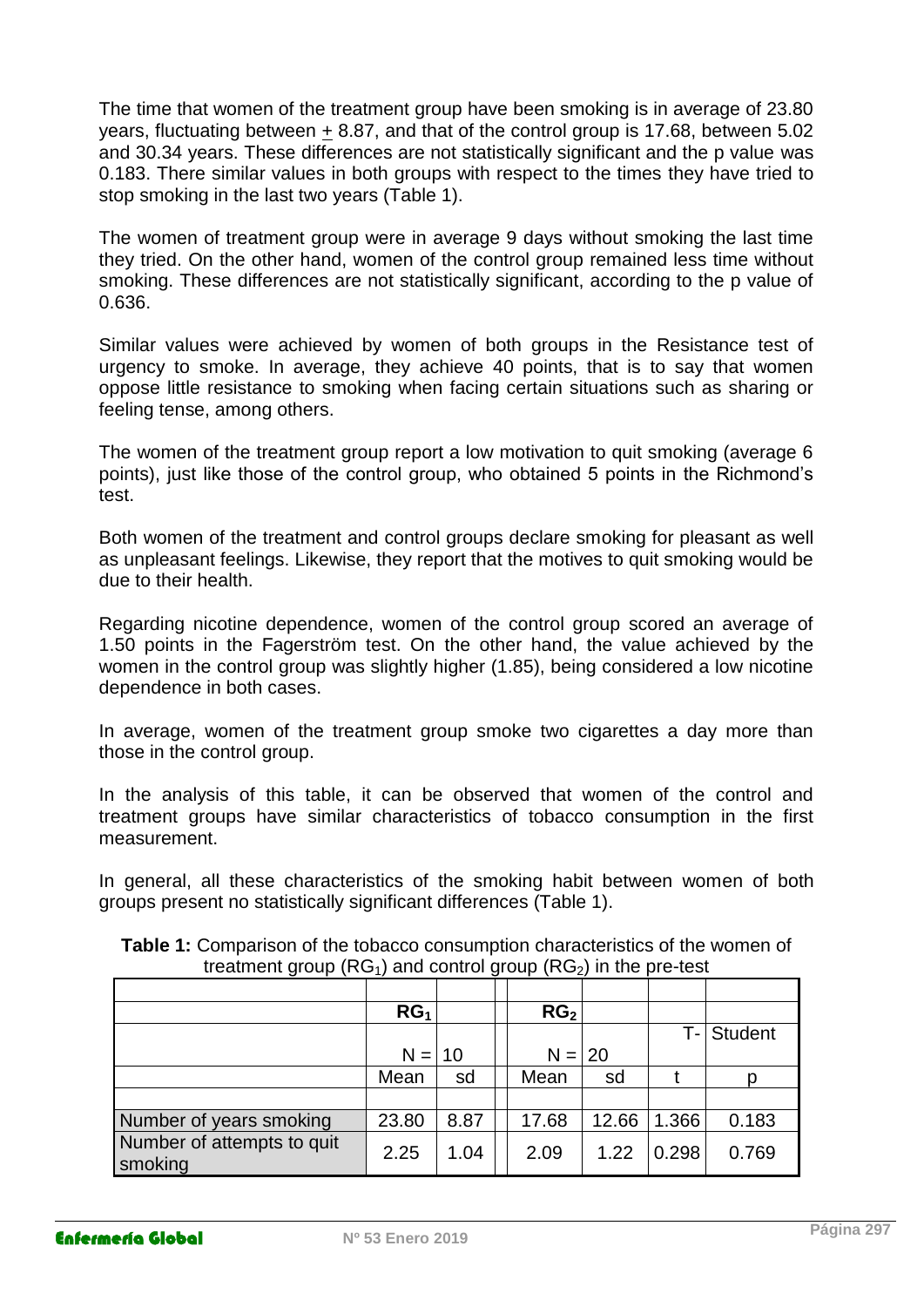The time that women of the treatment group have been smoking is in average of 23.80 years, fluctuating between + 8.87, and that of the control group is 17.68, between 5.02 and 30.34 years. These differences are not statistically significant and the p value was 0.183. There similar values in both groups with respect to the times they have tried to stop smoking in the last two years (Table 1).

The women of treatment group were in average 9 days without smoking the last time they tried. On the other hand, women of the control group remained less time without smoking. These differences are not statistically significant, according to the p value of 0.636.

Similar values were achieved by women of both groups in the Resistance test of urgency to smoke. In average, they achieve 40 points, that is to say that women oppose little resistance to smoking when facing certain situations such as sharing or feeling tense, among others.

The women of the treatment group report a low motivation to quit smoking (average 6 points), just like those of the control group, who obtained 5 points in the Richmond's test.

Both women of the treatment and control groups declare smoking for pleasant as well as unpleasant feelings. Likewise, they report that the motives to quit smoking would be due to their health.

Regarding nicotine dependence, women of the control group scored an average of 1.50 points in the Fagerström test. On the other hand, the value achieved by the women in the control group was slightly higher (1.85), being considered a low nicotine dependence in both cases.

In average, women of the treatment group smoke two cigarettes a day more than those in the control group.

In the analysis of this table, it can be observed that women of the control and treatment groups have similar characteristics of tobacco consumption in the first measurement.

In general, all these characteristics of the smoking habit between women of both groups present no statistically significant differences (Table 1).

|                                       | RG <sub>1</sub> |      | RG <sub>2</sub> |       |       |         |
|---------------------------------------|-----------------|------|-----------------|-------|-------|---------|
|                                       |                 |      |                 |       | T- I  | Student |
|                                       | $N =$           | 10   | $N = 20$        |       |       |         |
|                                       | Mean            | sd   | Mean            | sd    |       | D       |
|                                       |                 |      |                 |       |       |         |
| Number of years smoking               | 23.80           | 8.87 | 17.68           | 12.66 | 1.366 | 0.183   |
| Number of attempts to quit<br>smoking | 2.25            | 1.04 | 2.09            | 1.22  | 0.298 | 0.769   |

**Table 1:** Comparison of the tobacco consumption characteristics of the women of treatment group  $(RG_1)$  and control group  $(RG_2)$  in the pre-test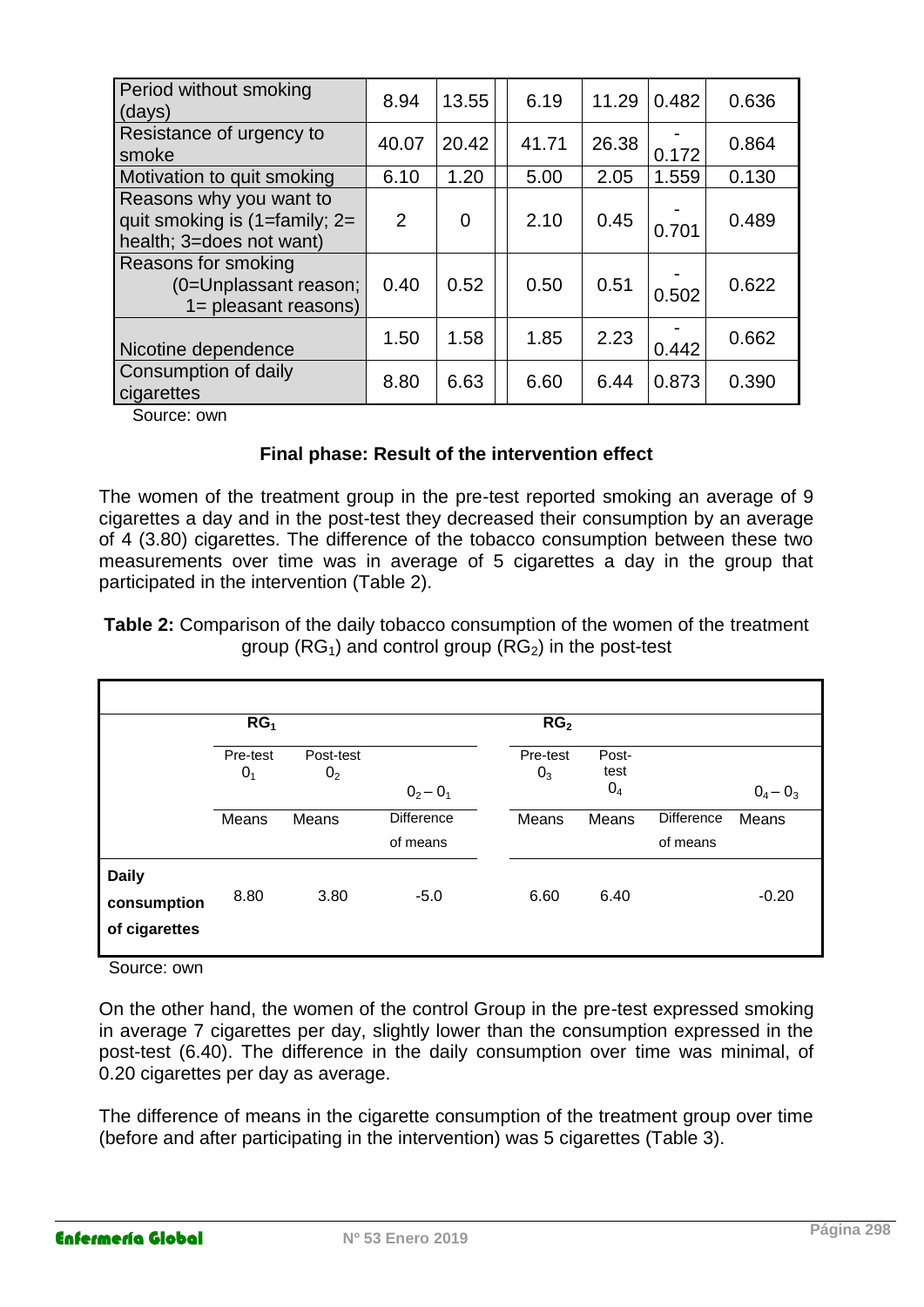| Period without smoking<br>(days)                                                                 | 8.94           | 13.55 | 6.19  | 11.29 | 0.482 | 0.636 |
|--------------------------------------------------------------------------------------------------|----------------|-------|-------|-------|-------|-------|
| Resistance of urgency to<br>smoke                                                                | 40.07          | 20.42 | 41.71 | 26.38 | 0.172 | 0.864 |
| Motivation to quit smoking                                                                       | 6.10           | 1.20  | 5.00  | 2.05  | 1.559 | 0.130 |
| Reasons why you want to<br>quit smoking is $(1 = \text{family}; 2 =$<br>health; 3=does not want) | $\overline{2}$ | 0     | 2.10  | 0.45  | 0.701 | 0.489 |
| Reasons for smoking<br>(0=Unplassant reason;<br>$1 =$ pleasant reasons)                          | 0.40           | 0.52  | 0.50  | 0.51  | 0.502 | 0.622 |
| Nicotine dependence                                                                              | 1.50           | 1.58  | 1.85  | 2.23  | 0.442 | 0.662 |
| Consumption of daily<br>cigarettes                                                               | 8.80           | 6.63  | 6.60  | 6.44  | 0.873 | 0.390 |

Source: own

#### **Final phase: Result of the intervention effect**

The women of the treatment group in the pre-test reported smoking an average of 9 cigarettes a day and in the post-test they decreased their consumption by an average of 4 (3.80) cigarettes. The difference of the tobacco consumption between these two measurements over time was in average of 5 cigarettes a day in the group that participated in the intervention (Table 2).

**Table 2:** Comparison of the daily tobacco consumption of the women of the treatment group  $(RG_1)$  and control group  $(RG_2)$  in the post-test

|                                              | RG <sub>1</sub>            |                             |                               | RG <sub>2</sub>            |                                 |                        |             |
|----------------------------------------------|----------------------------|-----------------------------|-------------------------------|----------------------------|---------------------------------|------------------------|-------------|
|                                              | Pre-test<br>0 <sub>1</sub> | Post-test<br>0 <sub>2</sub> | $0_2 - 0_1$                   | Pre-test<br>0 <sub>3</sub> | Post-<br>test<br>0 <sub>4</sub> |                        | $0_4 - 0_3$ |
|                                              | Means                      | Means                       | <b>Difference</b><br>of means | Means                      | Means                           | Difference<br>of means | Means       |
| <b>Daily</b><br>consumption<br>of cigarettes | 8.80                       | 3.80                        | $-5.0$                        | 6.60                       | 6.40                            |                        | $-0.20$     |

Source: own

On the other hand, the women of the control Group in the pre-test expressed smoking in average 7 cigarettes per day, slightly lower than the consumption expressed in the post-test (6.40). The difference in the daily consumption over time was minimal, of 0.20 cigarettes per day as average.

The difference of means in the cigarette consumption of the treatment group over time (before and after participating in the intervention) was 5 cigarettes (Table 3).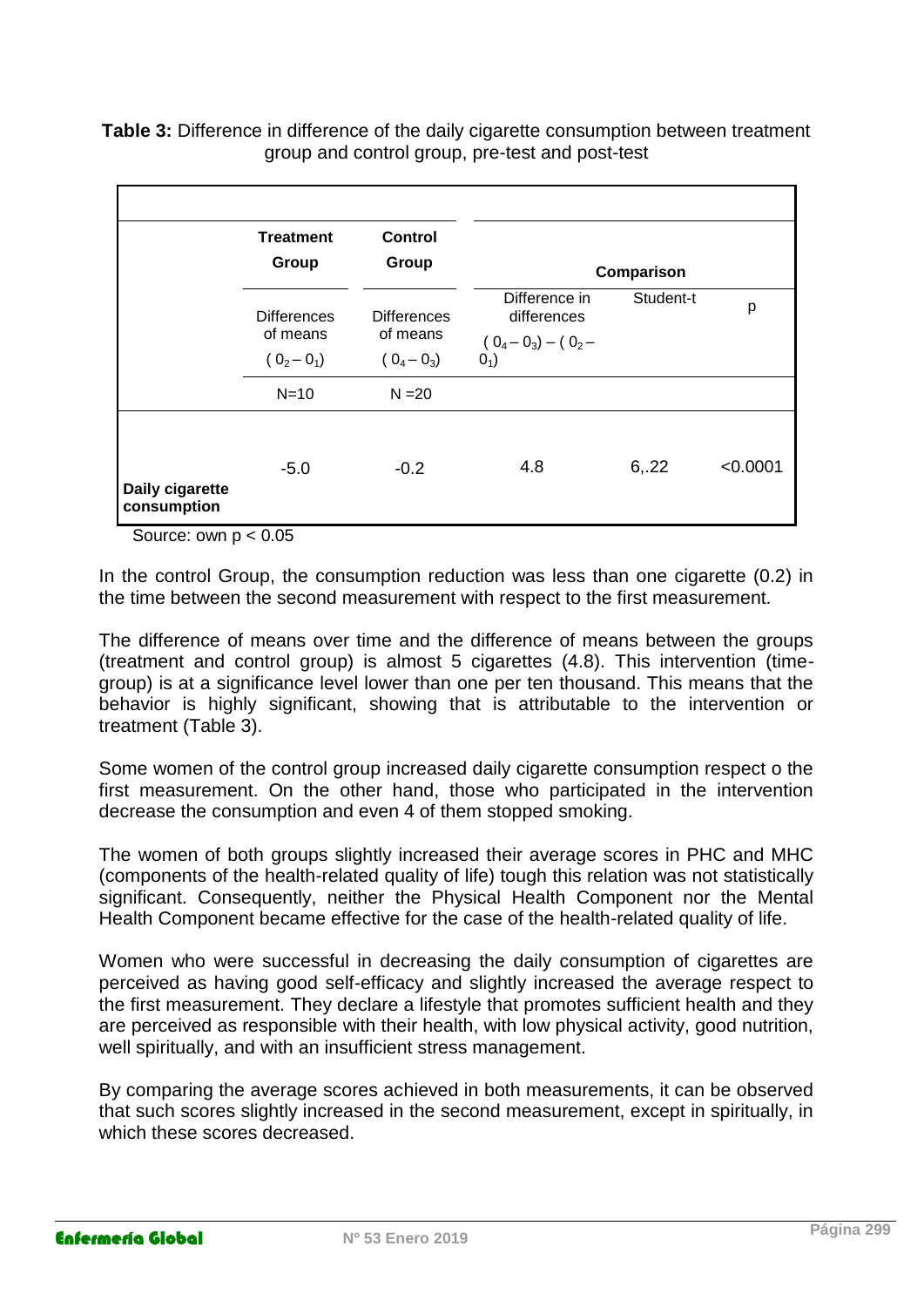**Table 3:** Difference in difference of the daily cigarette consumption between treatment group and control group, pre-test and post-test

|                                | <b>Treatment</b><br>Group      | <b>Control</b><br>Group        | Comparison                                             |           |          |  |  |  |
|--------------------------------|--------------------------------|--------------------------------|--------------------------------------------------------|-----------|----------|--|--|--|
|                                | <b>Differences</b><br>of means | <b>Differences</b><br>of means | Difference in<br>differences<br>$(0_4 - 0_3) - (0_2 -$ | Student-t | p        |  |  |  |
|                                | $(0_2 - 0_1)$                  | $(0_4 - 0_3)$                  | $0_1$                                                  |           |          |  |  |  |
|                                | $N=10$                         | $N = 20$                       |                                                        |           |          |  |  |  |
| Daily cigarette<br>consumption | $-5.0$                         | $-0.2$                         | 4.8                                                    | 6, 22     | < 0.0001 |  |  |  |

Source: own  $p < 0.05$ 

In the control Group, the consumption reduction was less than one cigarette (0.2) in the time between the second measurement with respect to the first measurement.

The difference of means over time and the difference of means between the groups (treatment and control group) is almost 5 cigarettes (4.8). This intervention (timegroup) is at a significance level lower than one per ten thousand. This means that the behavior is highly significant, showing that is attributable to the intervention or treatment (Table 3).

Some women of the control group increased daily cigarette consumption respect o the first measurement. On the other hand, those who participated in the intervention decrease the consumption and even 4 of them stopped smoking.

The women of both groups slightly increased their average scores in PHC and MHC (components of the health-related quality of life) tough this relation was not statistically significant. Consequently, neither the Physical Health Component nor the Mental Health Component became effective for the case of the health-related quality of life.

Women who were successful in decreasing the daily consumption of cigarettes are perceived as having good self-efficacy and slightly increased the average respect to the first measurement. They declare a lifestyle that promotes sufficient health and they are perceived as responsible with their health, with low physical activity, good nutrition, well spiritually, and with an insufficient stress management.

By comparing the average scores achieved in both measurements, it can be observed that such scores slightly increased in the second measurement, except in spiritually, in which these scores decreased.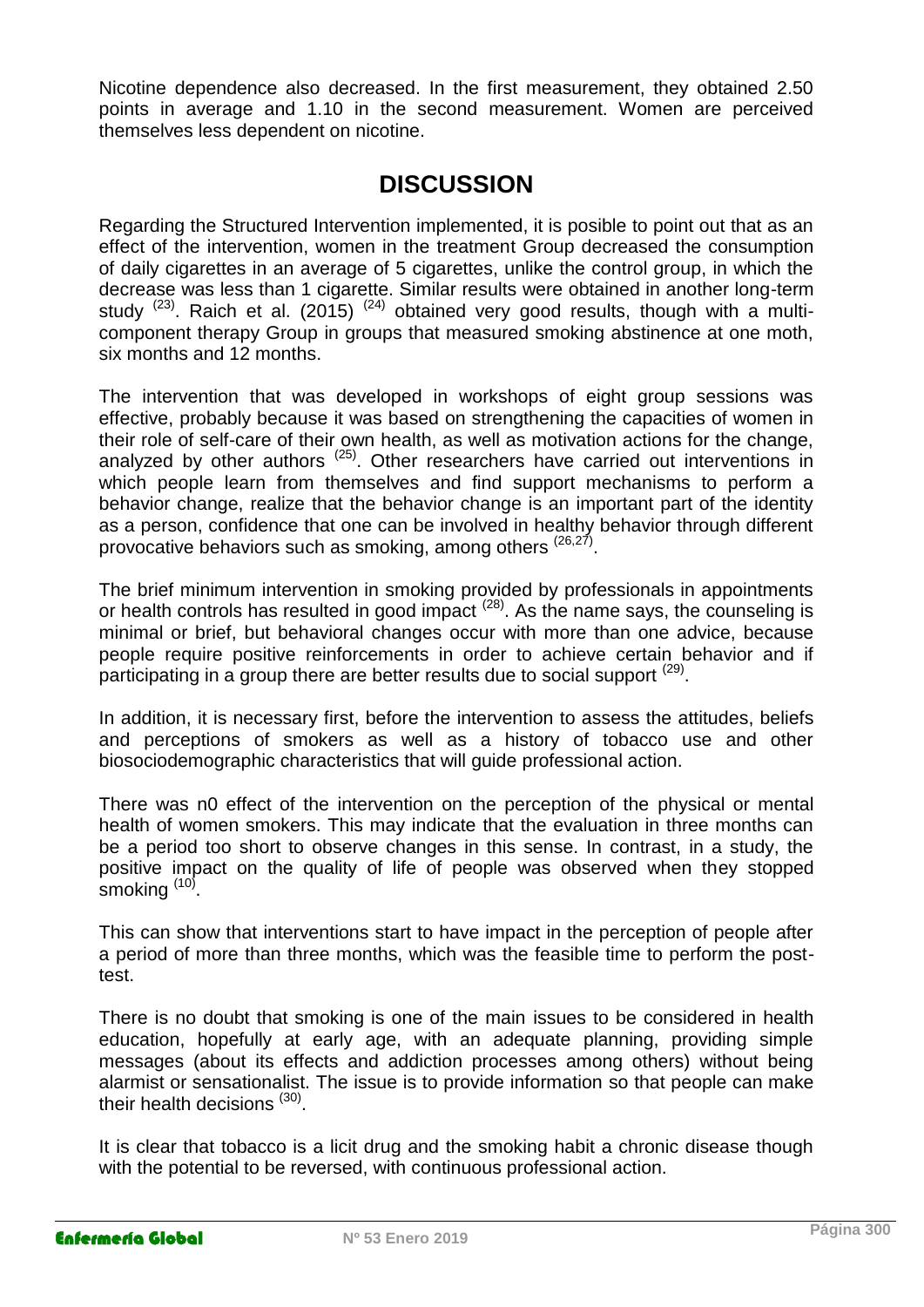Nicotine dependence also decreased. In the first measurement, they obtained 2.50 points in average and 1.10 in the second measurement. Women are perceived themselves less dependent on nicotine.

# **DISCUSSION**

Regarding the Structured Intervention implemented, it is posible to point out that as an effect of the intervention, women in the treatment Group decreased the consumption of daily cigarettes in an average of 5 cigarettes, unlike the control group, in which the decrease was less than 1 cigarette. Similar results were obtained in another long-term study<sup> (23)</sup>. Raich et al. (2015) <sup>(24)</sup> obtained very good results, though with a multicomponent therapy Group in groups that measured smoking abstinence at one moth, six months and 12 months.

The intervention that was developed in workshops of eight group sessions was effective, probably because it was based on strengthening the capacities of women in their role of self-care of their own health, as well as motivation actions for the change, analyzed by other authors  $(25)$ . Other researchers have carried out interventions in which people learn from themselves and find support mechanisms to perform a behavior change, realize that the behavior change is an important part of the identity as a person, confidence that one can be involved in healthy behavior through different provocative behaviors such as smoking, among others <sup>(26,27)</sup>.

The brief minimum intervention in smoking provided by professionals in appointments or health controls has resulted in good impact  $(28)$ . As the name says, the counseling is minimal or brief, but behavioral changes occur with more than one advice, because people require positive reinforcements in order to achieve certain behavior and if participating in a group there are better results due to social support <sup>(29)</sup>.

In addition, it is necessary first, before the intervention to assess the attitudes, beliefs and perceptions of smokers as well as a history of tobacco use and other biosociodemographic characteristics that will guide professional action.

There was n0 effect of the intervention on the perception of the physical or mental health of women smokers. This may indicate that the evaluation in three months can be a period too short to observe changes in this sense. In contrast, in a study, the positive impact on the quality of life of people was observed when they stopped smoking  $^{\left(10\right)}$ .

This can show that interventions start to have impact in the perception of people after a period of more than three months, which was the feasible time to perform the posttest.

There is no doubt that smoking is one of the main issues to be considered in health education, hopefully at early age, with an adequate planning, providing simple messages (about its effects and addiction processes among others) without being alarmist or sensationalist. The issue is to provide information so that people can make their health decisions <sup>(30)</sup>.

It is clear that tobacco is a licit drug and the smoking habit a chronic disease though with the potential to be reversed, with continuous professional action.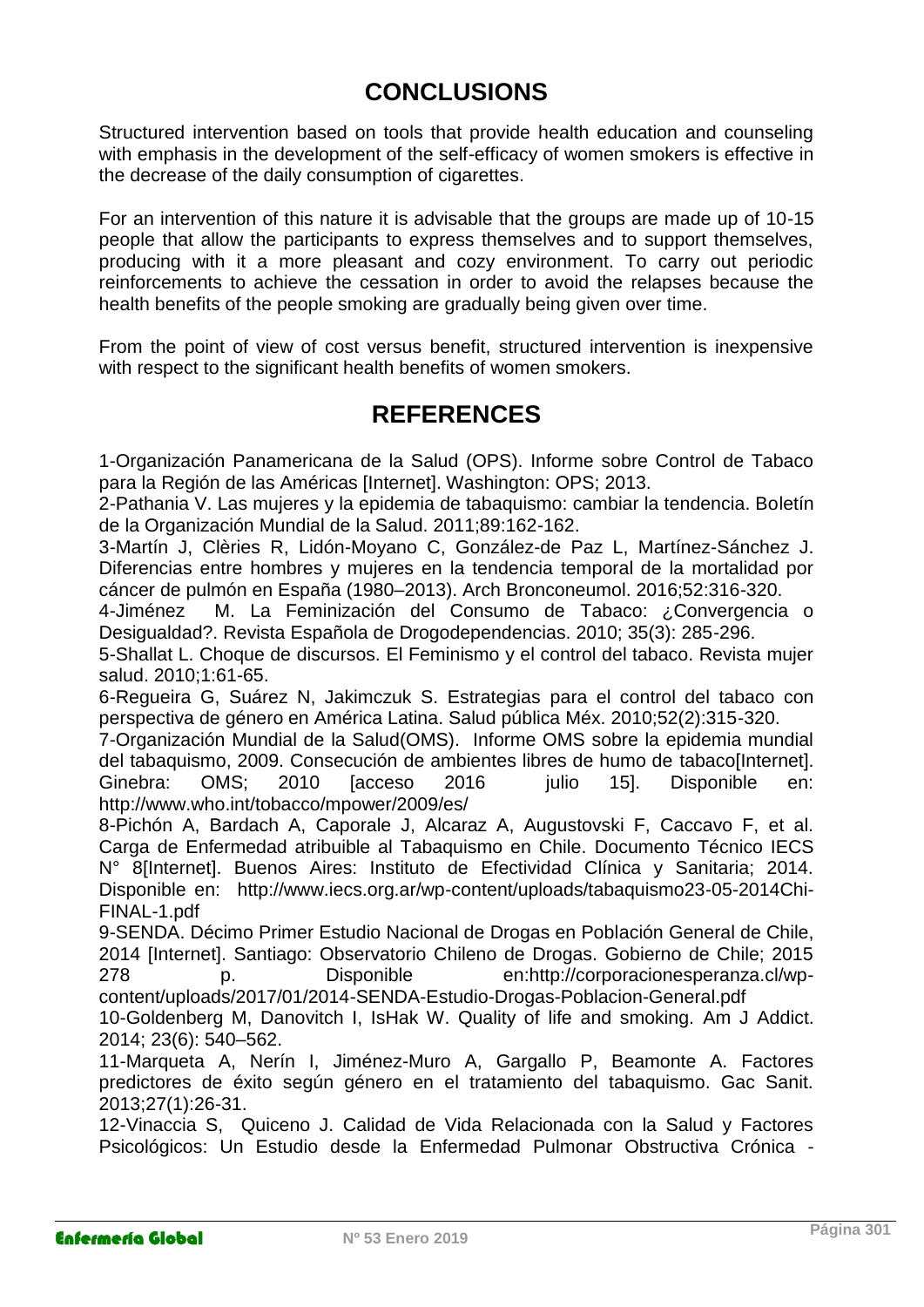# **CONCLUSIONS**

Structured intervention based on tools that provide health education and counseling with emphasis in the development of the self-efficacy of women smokers is effective in the decrease of the daily consumption of cigarettes.

For an intervention of this nature it is advisable that the groups are made up of 10-15 people that allow the participants to express themselves and to support themselves, producing with it a more pleasant and cozy environment. To carry out periodic reinforcements to achieve the cessation in order to avoid the relapses because the health benefits of the people smoking are gradually being given over time.

From the point of view of cost versus benefit, structured intervention is inexpensive with respect to the significant health benefits of women smokers.

## **REFERENCES**

1-Organización Panamericana de la Salud (OPS). Informe sobre Control de Tabaco para la Región de las Américas [Internet]. Washington: OPS; 2013.

2-Pathania V. Las mujeres y la epidemia de tabaquismo: cambiar la tendencia. Boletín de la Organización Mundial de la Salud. 2011;89:162-162.

3-Martín J, Clèries R, Lidón-Moyano C, González-de Paz L, Martínez-Sánchez J. Diferencias entre hombres y mujeres en la tendencia temporal de la mortalidad por cáncer de pulmón en España (1980–2013). Arch Bronconeumol. 2016;52:316-320.

4-Jiménez M. La Feminización del Consumo de Tabaco: ¿Convergencia o Desigualdad?. Revista Española de Drogodependencias. 2010; 35(3): 285-296.

5-Shallat L. Choque de discursos. El Feminismo y el control del tabaco. Revista mujer salud. 2010;1:61-65.

6-Regueira G, Suárez N, Jakimczuk S. Estrategias para el control del tabaco con perspectiva de género en América Latina. Salud pública Méx. 2010;52(2):315-320.

7-Organización Mundial de la Salud(OMS). Informe OMS sobre la epidemia mundial del tabaquismo, 2009. Consecución de ambientes libres de humo de tabaco[Internet]. Ginebra: OMS; 2010 [acceso 2016 julio 15]. Disponible en: http://www.who.int/tobacco/mpower/2009/es/

8-Pichón A, Bardach A, Caporale J, Alcaraz A, Augustovski F, Caccavo F, et al. Carga de Enfermedad atribuible al Tabaquismo en Chile. Documento Técnico IECS N° 8[Internet]. Buenos Aires: Instituto de Efectividad Clínica y Sanitaria; 2014. Disponible en: http://www.iecs.org.ar/wp-content/uploads/tabaquismo23-05-2014Chi-FINAL-1.pdf

9-SENDA. Décimo Primer Estudio Nacional de Drogas en Población General de Chile, 2014 [Internet]. Santiago: Observatorio Chileno de Drogas. Gobierno de Chile; 2015 278 p. Disponible en:http://corporacionesperanza.cl/wpcontent/uploads/2017/01/2014-SENDA-Estudio-Drogas-Poblacion-General.pdf

10-Goldenberg M, Danovitch I, IsHak W. Quality of life and smoking. Am J Addict. 2014; 23(6): 540–562.

11-Marqueta A, Nerín I, Jiménez-Muro A, Gargallo P, Beamonte A. Factores predictores de éxito según género en el tratamiento del tabaquismo. Gac Sanit. 2013;27(1):26-31.

12-Vinaccia S, Quiceno J. Calidad de Vida Relacionada con la Salud y Factores Psicológicos: Un Estudio desde la Enfermedad Pulmonar Obstructiva Crónica -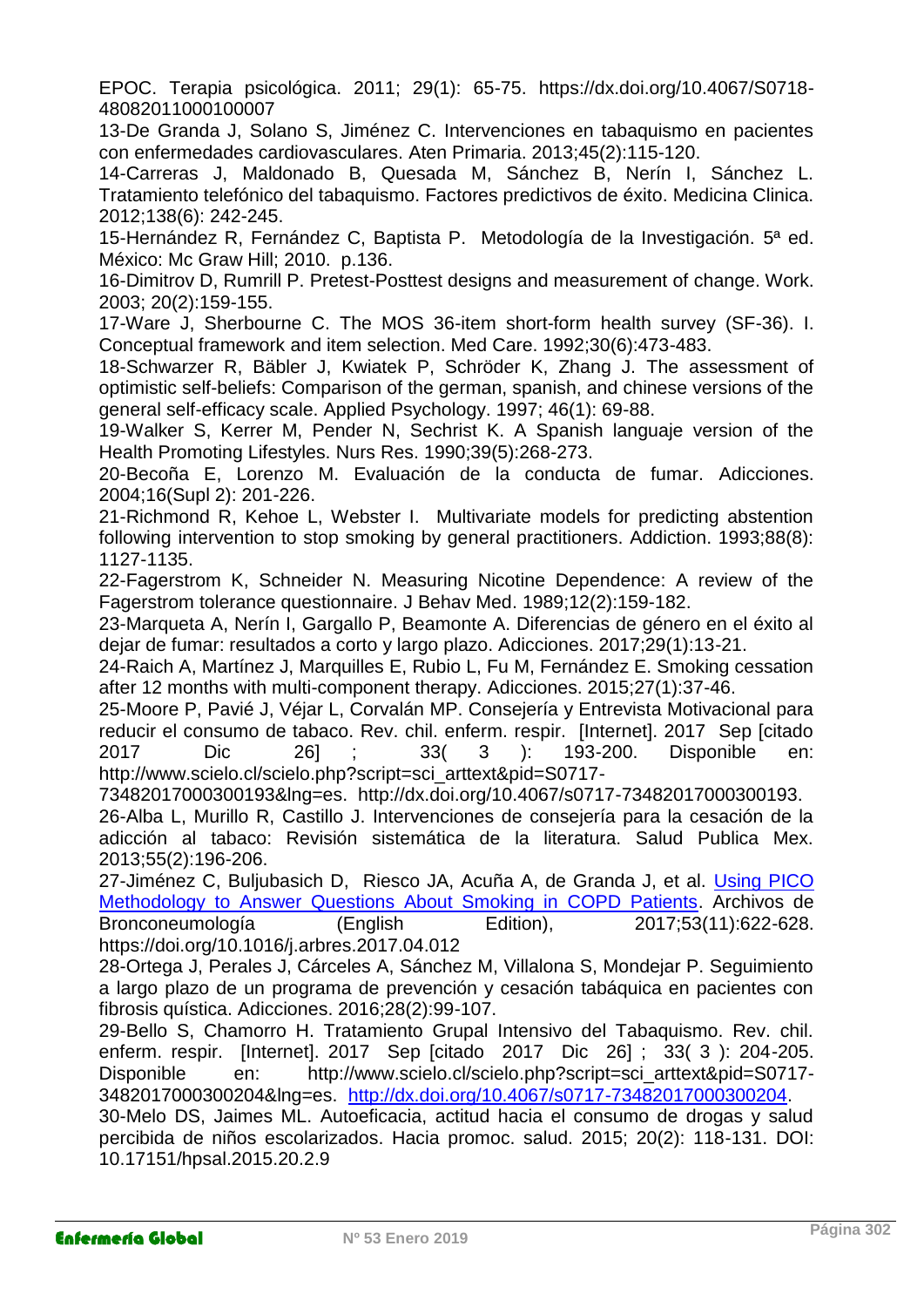EPOC. Terapia psicológica. 2011; 29(1): 65-75. https://dx.doi.org/10.4067/S0718- 48082011000100007

13-De Granda J, Solano S, Jiménez C. Intervenciones en tabaquismo en pacientes con enfermedades cardiovasculares. Aten Primaria. 2013;45(2):115-120.

14-Carreras J, Maldonado B, Quesada M, Sánchez B, Nerín I, Sánchez L. Tratamiento telefónico del tabaquismo. Factores predictivos de éxito. Medicina Clinica. 2012;138(6): 242-245.

15-Hernández R, Fernández C, Baptista P. Metodología de la Investigación. 5<sup>a</sup> ed. México: Mc Graw Hill; 2010. p.136.

16-Dimitrov D, Rumrill P. Pretest-Posttest designs and measurement of change. Work. 2003; 20(2):159-155.

17-Ware J, Sherbourne C. The MOS 36-item short-form health survey (SF-36). I. Conceptual framework and item selection. Med Care. 1992;30(6):473-483.

18-Schwarzer R, Bäbler J, Kwiatek P, Schröder K, Zhang J. The assessment of optimistic self-beliefs: Comparison of the german, spanish, and chinese versions of the general self-efficacy scale. Applied Psychology. 1997; 46(1): 69-88.

19-Walker S, Kerrer M, Pender N, Sechrist K. A Spanish languaje version of the Health Promoting Lifestyles. Nurs Res. 1990;39(5):268-273.

20-Becoña E, Lorenzo M. Evaluación de la conducta de fumar. Adicciones. 2004;16(Supl 2): 201-226.

21-Richmond R, Kehoe L, Webster I. Multivariate models for predicting abstention following intervention to stop smoking by general practitioners. Addiction. 1993;88(8): 1127-1135.

22-Fagerstrom K, Schneider N. Measuring Nicotine Dependence: A review of the Fagerstrom tolerance questionnaire. J Behav Med. 1989;12(2):159-182.

23-Marqueta A, Nerín I, Gargallo P, Beamonte A. Diferencias de género en el éxito al dejar de fumar: resultados a corto y largo plazo. Adicciones. 2017;29(1):13-21.

24-Raich A, Martínez J, Marquilles E, Rubio L, Fu M, Fernández E. Smoking cessation after 12 months with multi-component therapy. Adicciones. 2015;27(1):37-46.

25-Moore P, Pavié J, Véjar L, Corvalán MP. Consejería y Entrevista Motivacional para reducir el consumo de tabaco. Rev. chil. enferm. respir. [Internet]. 2017 Sep [citado 2017 Dic 26] ; 33( 3 ): 193-200. Disponible en: http://www.scielo.cl/scielo.php?script=sci\_arttext&pid=S0717-

73482017000300193&lng=es. http://dx.doi.org/10.4067/s0717-73482017000300193.

26-Alba L, Murillo R, Castillo J. Intervenciones de consejería para la cesación de la adicción al tabaco: Revisión sistemática de la literatura. Salud Publica Mex. 2013;55(2):196-206.

27-Jiménez C, Buljubasich D, Riesco JA, Acuña A, de Granda J, et al. [Using PICO](http://www.sciencedirect.com/science/article/pii/S1579212917302987)  [Methodology to Answer Questions About Smoking in COPD Patients.](http://www.sciencedirect.com/science/article/pii/S1579212917302987) Archivos de Bronconeumología (English Edition), 2017;53(11):622-628. https://doi.org/10.1016/j.arbres.2017.04.012

28-Ortega J, Perales J, Cárceles A, Sánchez M, Villalona S, Mondejar P. Seguimiento a largo plazo de un programa de prevención y cesación tabáquica en pacientes con fibrosis quística. Adicciones. 2016;28(2):99-107.

29-Bello S, Chamorro H. Tratamiento Grupal Intensivo del Tabaquismo. Rev. chil. enferm. respir. [Internet]. 2017 Sep [citado 2017 Dic 26] ; 33( 3 ): 204-205. Disponible en: http://www.scielo.cl/scielo.php?script=sci\_arttext&pid=S0717- 3482017000300204&lng=es. [http://dx.doi.org/10.4067/s0717-73482017000300204.](http://dx.doi.org/10.4067/s0717-73482017000300204)

30-Melo DS, Jaimes ML. Autoeficacia, actitud hacia el consumo de drogas y salud percibida de niños escolarizados. Hacia promoc. salud. 2015; 20(2): 118-131. DOI: 10.17151/hpsal.2015.20.2.9